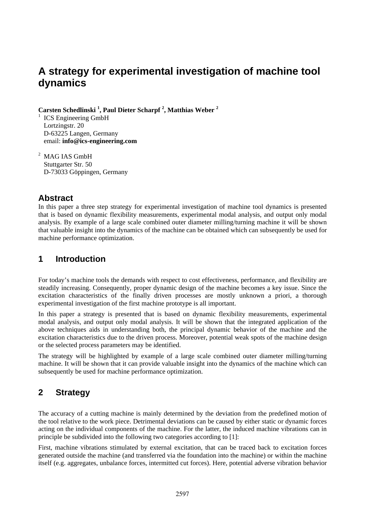# **A strategy for experimental investigation of machine tool dynamics**

**Carsten Schedlinski <sup>1</sup> , Paul Dieter Scharpf 2 , Matthias Weber <sup>2</sup>**

1 ICS Engineering GmbH Lortzingstr. 20 D-63225 Langen, Germany email: **info@ics-engineering.com** 

MAG IAS GmbH Stuttgarter Str. 50 D-73033 Göppingen, Germany

### **Abstract**

In this paper a three step strategy for experimental investigation of machine tool dynamics is presented that is based on dynamic flexibility measurements, experimental modal analysis, and output only modal analysis. By example of a large scale combined outer diameter milling/turning machine it will be shown that valuable insight into the dynamics of the machine can be obtained which can subsequently be used for machine performance optimization.

## **1 Introduction**

For today's machine tools the demands with respect to cost effectiveness, performance, and flexibility are steadily increasing. Consequently, proper dynamic design of the machine becomes a key issue. Since the excitation characteristics of the finally driven processes are mostly unknown a priori, a thorough experimental investigation of the first machine prototype is all important.

In this paper a strategy is presented that is based on dynamic flexibility measurements, experimental modal analysis, and output only modal analysis. It will be shown that the integrated application of the above techniques aids in understanding both, the principal dynamic behavior of the machine and the excitation characteristics due to the driven process. Moreover, potential weak spots of the machine design or the selected process parameters may be identified.

The strategy will be highlighted by example of a large scale combined outer diameter milling/turning machine. It will be shown that it can provide valuable insight into the dynamics of the machine which can subsequently be used for machine performance optimization.

## **2 Strategy**

The accuracy of a cutting machine is mainly determined by the deviation from the predefined motion of the tool relative to the work piece. Detrimental deviations can be caused by either static or dynamic forces acting on the individual components of the machine. For the latter, the induced machine vibrations can in principle be subdivided into the following two categories according to [1]:

First, machine vibrations stimulated by external excitation, that can be traced back to excitation forces generated outside the machine (and transferred via the foundation into the machine) or within the machine itself (e.g. aggregates, unbalance forces, intermitted cut forces). Here, potential adverse vibration behavior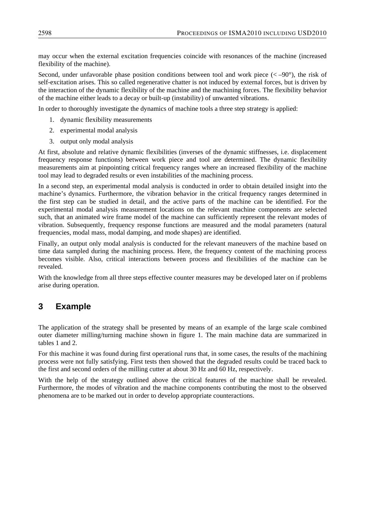may occur when the external excitation frequencies coincide with resonances of the machine (increased flexibility of the machine).

Second, under unfavorable phase position conditions between tool and work piece  $(< -90^{\circ}$ ), the risk of self-excitation arises. This so called regenerative chatter is not induced by external forces, but is driven by the interaction of the dynamic flexibility of the machine and the machining forces. The flexibility behavior of the machine either leads to a decay or built-up (instability) of unwanted vibrations.

In order to thoroughly investigate the dynamics of machine tools a three step strategy is applied:

- 1. dynamic flexibility measurements
- 2. experimental modal analysis
- 3. output only modal analysis

At first, absolute and relative dynamic flexibilities (inverses of the dynamic stiffnesses, i.e. displacement frequency response functions) between work piece and tool are determined. The dynamic flexibility measurements aim at pinpointing critical frequency ranges where an increased flexibility of the machine tool may lead to degraded results or even instabilities of the machining process.

In a second step, an experimental modal analysis is conducted in order to obtain detailed insight into the machine's dynamics. Furthermore, the vibration behavior in the critical frequency ranges determined in the first step can be studied in detail, and the active parts of the machine can be identified. For the experimental modal analysis measurement locations on the relevant machine components are selected such, that an animated wire frame model of the machine can sufficiently represent the relevant modes of vibration. Subsequently, frequency response functions are measured and the modal parameters (natural frequencies, modal mass, modal damping, and mode shapes) are identified.

Finally, an output only modal analysis is conducted for the relevant maneuvers of the machine based on time data sampled during the machining process. Here, the frequency content of the machining process becomes visible. Also, critical interactions between process and flexibilities of the machine can be revealed.

With the knowledge from all three steps effective counter measures may be developed later on if problems arise during operation.

#### **3 Example**

The application of the strategy shall be presented by means of an example of the large scale combined outer diameter milling/turning machine shown in figure 1. The main machine data are summarized in tables 1 and 2.

For this machine it was found during first operational runs that, in some cases, the results of the machining process were not fully satisfying. First tests then showed that the degraded results could be traced back to the first and second orders of the milling cutter at about 30 Hz and 60 Hz, respectively.

With the help of the strategy outlined above the critical features of the machine shall be revealed. Furthermore, the modes of vibration and the machine components contributing the most to the observed phenomena are to be marked out in order to develop appropriate counteractions.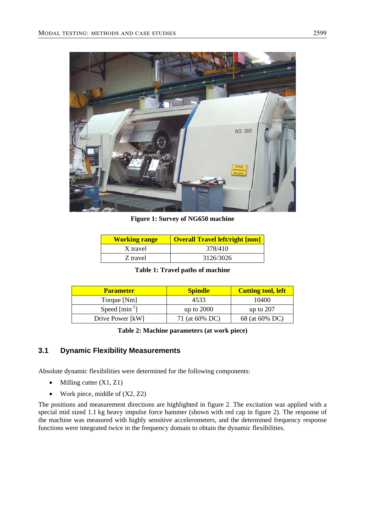

**Figure 1: Survey of NG650 machine** 

| <b>Working range</b> | <b>Overall Travel left/right [mm]</b> |
|----------------------|---------------------------------------|
| X travel             | 378/410                               |
| Z travel             | 3126/3026                             |

| <b>Table 1: Travel paths of machine</b> |
|-----------------------------------------|
|-----------------------------------------|

| <b>Parameter</b>         | <b>Spindle</b> | <b>Cutting tool, left</b> |  |
|--------------------------|----------------|---------------------------|--|
| Torque [Nm]              | 4533           | 10400                     |  |
| Speed ${\rm [min^{-1}]}$ | up to $2000$   | up to $207$               |  |
| Drive Power [kW]         | 71 (at 60% DC) | 68 (at 60% DC)            |  |

**Table 2: Machine parameters (at work piece)** 

#### **3.1 Dynamic Flexibility Measurements**

Absolute dynamic flexibilities were determined for the following components:

- Milling cutter  $(X1, Z1)$
- Work piece, middle of  $(X2, Z2)$

The positions and measurement directions are highlighted in figure 2. The excitation was applied with a special mid sized 1.1 kg heavy impulse force hammer (shown with red cap in figure 2). The response of the machine was measured with highly sensitive accelerometers, and the determined frequency response functions were integrated twice in the frequency domain to obtain the dynamic flexibilities.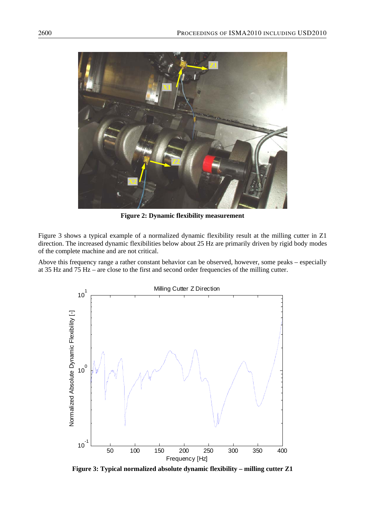

**Figure 2: Dynamic flexibility measurement** 

Figure 3 shows a typical example of a normalized dynamic flexibility result at the milling cutter in Z1 direction. The increased dynamic flexibilities below about 25 Hz are primarily driven by rigid body modes of the complete machine and are not critical.

Above this frequency range a rather constant behavior can be observed, however, some peaks – especially at 35 Hz and 75 Hz – are close to the first and second order frequencies of the milling cutter.



**Figure 3: Typical normalized absolute dynamic flexibility – milling cutter Z1**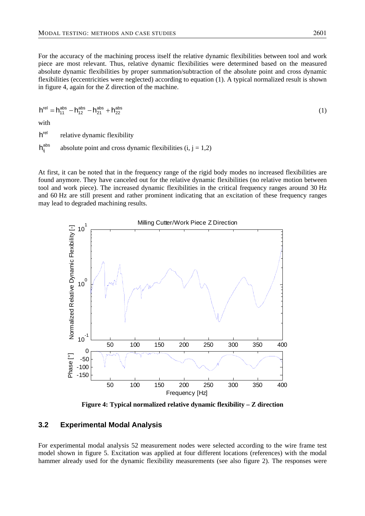For the accuracy of the machining process itself the relative dynamic flexibilities between tool and work piece are most relevant. Thus, relative dynamic flexibilities were determined based on the measured absolute dynamic flexibilities by proper summation/subtraction of the absolute point and cross dynamic flexibilities (eccentricities were neglected) according to equation (1). A typical normalized result is shown in figure 4, again for the Z direction of the machine.

$$
h^{\text{rel}} = h_{11}^{\text{abs}} - h_{12}^{\text{abs}} - h_{21}^{\text{abs}} + h_{22}^{\text{abs}}
$$
 (1)

with

 $h^{\text{rel}}$  relative dynamic flexibility

 $h_{ij}^{abs}$  absolute point and cross dynamic flexibilities (i, j = 1,2)

At first, it can be noted that in the frequency range of the rigid body modes no increased flexibilities are found anymore. They have canceled out for the relative dynamic flexibilities (no relative motion between tool and work piece). The increased dynamic flexibilities in the critical frequency ranges around 30 Hz and 60 Hz are still present and rather prominent indicating that an excitation of these frequency ranges may lead to degraded machining results.



**Figure 4: Typical normalized relative dynamic flexibility – Z direction** 

#### **3.2 Experimental Modal Analysis**

For experimental modal analysis 52 measurement nodes were selected according to the wire frame test model shown in figure 5. Excitation was applied at four different locations (references) with the modal hammer already used for the dynamic flexibility measurements (see also figure 2). The responses were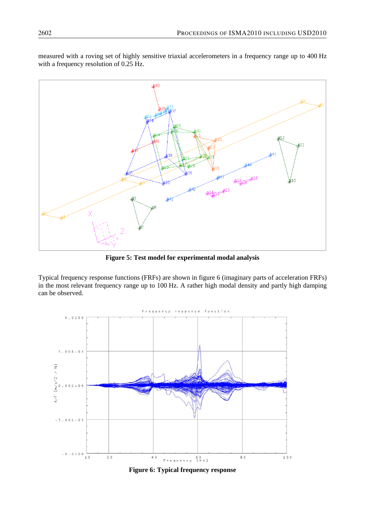measured with a roving set of highly sensitive triaxial accelerometers in a frequency range up to 400 Hz with a frequency resolution of 0.25 Hz.



**Figure 5: Test model for experimental modal analysis** 

Typical frequency response functions (FRFs) are shown in figure 6 (imaginary parts of acceleration FRFs) in the most relevant frequency range up to 100 Hz. A rather high modal density and partly high damping can be observed.



**Figure 6: Typical frequency response**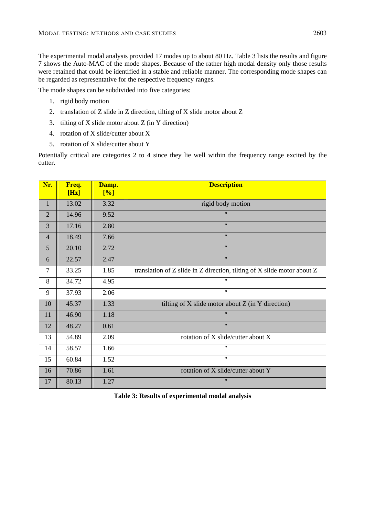The experimental modal analysis provided 17 modes up to about 80 Hz. Table 3 lists the results and figure 7 shows the Auto-MAC of the mode shapes. Because of the rather high modal density only those results were retained that could be identified in a stable and reliable manner. The corresponding mode shapes can be regarded as representative for the respective frequency ranges.

The mode shapes can be subdivided into five categories:

- 1. rigid body motion
- 2. translation of Z slide in Z direction, tilting of X slide motor about Z
- 3. tilting of X slide motor about Z (in Y direction)
- 4. rotation of X slide/cutter about X
- 5. rotation of X slide/cutter about Y

Potentially critical are categories 2 to 4 since they lie well within the frequency range excited by the cutter.

| Nr.            | Freq.<br>[Hz] | Damp.<br>[%] | <b>Description</b>                                                      |
|----------------|---------------|--------------|-------------------------------------------------------------------------|
| 1              | 13.02         | 3.32         | rigid body motion                                                       |
| $\overline{2}$ | 14.96         | 9.52         | $\mathbf{H}$                                                            |
| 3              | 17.16         | 2.80         | $^{\prime\prime}$                                                       |
| $\overline{4}$ | 18.49         | 7.66         | $^{\prime\prime}$                                                       |
| 5              | 20.10         | 2.72         | $^{\prime\prime}$                                                       |
| 6              | 22.57         | 2.47         | $^{\prime\prime}$                                                       |
| $\overline{7}$ | 33.25         | 1.85         | translation of Z slide in Z direction, tilting of X slide motor about Z |
| 8              | 34.72         | 4.95         | $^{\prime}$                                                             |
| 9              | 37.93         | 2.06         | $\pmb{\mathsf{H}}$                                                      |
| 10             | 45.37         | 1.33         | tilting of $X$ slide motor about $Z$ (in $Y$ direction)                 |
| 11             | 46.90         | 1.18         | $\mathbf{H}$                                                            |
| 12             | 48.27         | 0.61         | $^{\prime\prime}$                                                       |
| 13             | 54.89         | 2.09         | rotation of X slide/cutter about X                                      |
| 14             | 58.57         | 1.66         | $^{\dagger}$                                                            |
| 15             | 60.84         | 1.52         | $^{\dagger}$                                                            |
| 16             | 70.86         | 1.61         | rotation of X slide/cutter about Y                                      |
| 17             | 80.13         | 1.27         | $^{\prime\prime}$                                                       |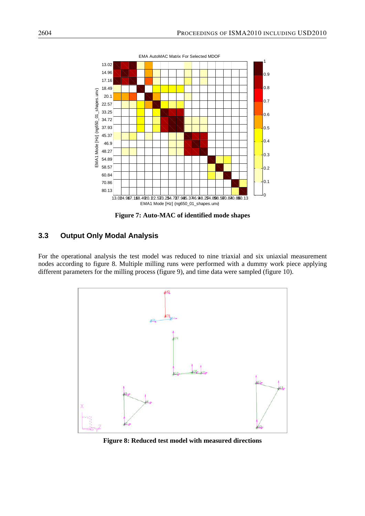

**Figure 7: Auto-MAC of identified mode shapes** 

#### **3.3 Output Only Modal Analysis**

For the operational analysis the test model was reduced to nine triaxial and six uniaxial measurement nodes according to figure 8. Multiple milling runs were performed with a dummy work piece applying different parameters for the milling process (figure 9), and time data were sampled (figure 10).



**Figure 8: Reduced test model with measured directions**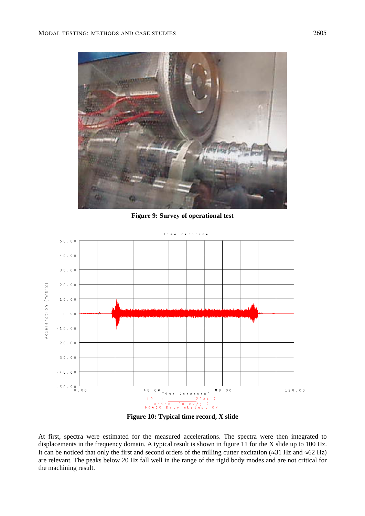

**Figure 9: Survey of operational test** 





At first, spectra were estimated for the measured accelerations. The spectra were then integrated to displacements in the frequency domain. A typical result is shown in figure 11 for the X slide up to 100 Hz. It can be noticed that only the first and second orders of the milling cutter excitation ( $\approx$ 31 Hz and  $\approx$ 62 Hz) are relevant. The peaks below 20 Hz fall well in the range of the rigid body modes and are not critical for the machining result.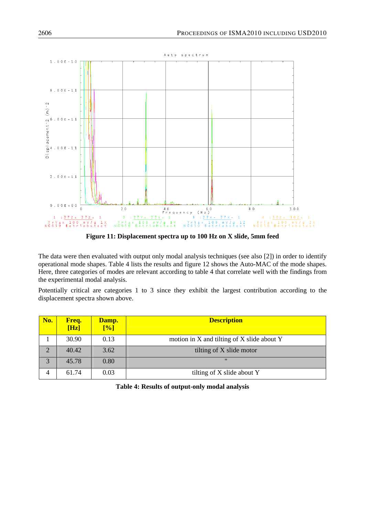

**Figure 11: Displacement spectra up to 100 Hz on X slide, 5mm feed** 

The data were then evaluated with output only modal analysis techniques (see also [2]) in order to identify operational mode shapes. Table 4 lists the results and figure 12 shows the Auto-MAC of the mode shapes. Here, three categories of modes are relevant according to table 4 that correlate well with the findings from the experimental modal analysis.

Potentially critical are categories 1 to 3 since they exhibit the largest contribution according to the displacement spectra shown above.

| No.            | Freq.<br>[Hz] | Damp.<br>[%] | <b>Description</b>                               |
|----------------|---------------|--------------|--------------------------------------------------|
|                | 30.90         | 0.13         | motion in $X$ and tilting of $X$ slide about $Y$ |
| $\overline{2}$ | 40.42         | 3.62         | tilting of X slide motor                         |
| 3              | 45.78         | 0.80         | $^{\prime\prime}$                                |
| $\overline{4}$ | 61.74         | 0.03         | tilting of X slide about Y                       |

**Table 4: Results of output-only modal analysis**